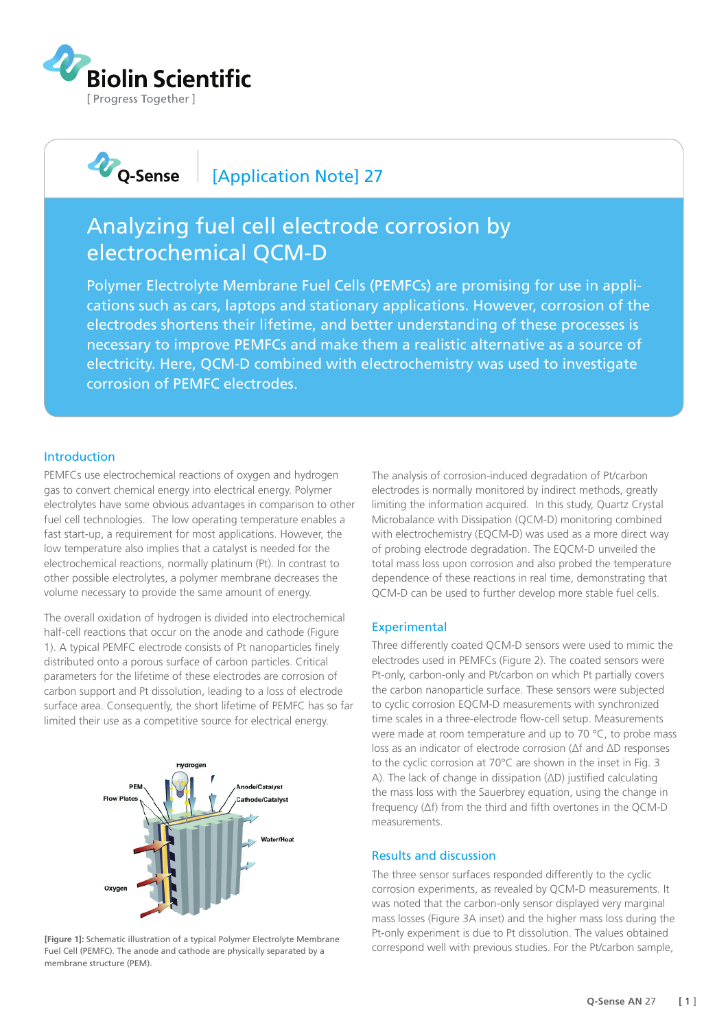

## **D**Q-Sense [Application Note] 27

# Analyzing fuel cell electrode corrosion by electrochemical QCM-D

Polymer Electrolyte Membrane Fuel Cells (PEMFCs) are promising for use in applications such as cars, laptops and stationary applications. However, corrosion of the electrodes shortens their lifetime, and better understanding of these processes is necessary to improve PEMFCs and make them a realistic alternative as a source of electricity. Here, QCM-D combined with electrochemistry was used to investigate corrosion of PEMFC electrodes.

#### Introduction

PEMFCs use electrochemical reactions of oxygen and hydrogen gas to convert chemical energy into electrical energy. Polymer electrolytes have some obvious advantages in comparison to other fuel cell technologies. The low operating temperature enables a fast start-up, a requirement for most applications. However, the low temperature also implies that a catalyst is needed for the electrochemical reactions, normally platinum (Pt). In contrast to other possible electrolytes, a polymer membrane decreases the volume necessary to provide the same amount of energy.

The overall oxidation of hydrogen is divided into electrochemical half-cell reactions that occur on the anode and cathode (Figure 1). A typical PEMFC electrode consists of Pt nanoparticles finely distributed onto a porous surface of carbon particles. Critical parameters for the lifetime of these electrodes are corrosion of carbon support and Pt dissolution, leading to a loss of electrode surface area. Consequently, the short lifetime of PEMFC has so far limited their use as a competitive source for electrical energy.



**[Figure 1]:** Schematic illustration of a typical Polymer Electrolyte Membrane Fuel Cell (PEMFC). The anode and cathode are physically separated by a membrane structure (PEM).

The analysis of corrosion-induced degradation of Pt/carbon electrodes is normally monitored by indirect methods, greatly limiting the information acquired. In this study, Quartz Crystal Microbalance with Dissipation (QCM-D) monitoring combined with electrochemistry (EQCM-D) was used as a more direct way of probing electrode degradation. The EQCM-D unveiled the total mass loss upon corrosion and also probed the temperature dependence of these reactions in real time, demonstrating that QCM-D can be used to further develop more stable fuel cells.

### **Experimental**

Three differently coated QCM-D sensors were used to mimic the electrodes used in PEMFCs (Figure 2). The coated sensors were Pt-only, carbon-only and Pt/carbon on which Pt partially covers the carbon nanoparticle surface. These sensors were subjected to cyclic corrosion EQCM-D measurements with synchronized time scales in a three-electrode flow-cell setup. Measurements were made at room temperature and up to 70 °C, to probe mass loss as an indicator of electrode corrosion (Δf and ΔD responses to the cyclic corrosion at 70°C are shown in the inset in Fig. 3 A). The lack of change in dissipation (ΔD) justified calculating the mass loss with the Sauerbrey equation, using the change in frequency (Δf) from the third and fifth overtones in the QCM-D measurements.

#### Results and discussion

The three sensor surfaces responded differently to the cyclic corrosion experiments, as revealed by QCM-D measurements. It was noted that the carbon-only sensor displayed very marginal mass losses (Figure 3A inset) and the higher mass loss during the Pt-only experiment is due to Pt dissolution. The values obtained correspond well with previous studies. For the Pt/carbon sample,